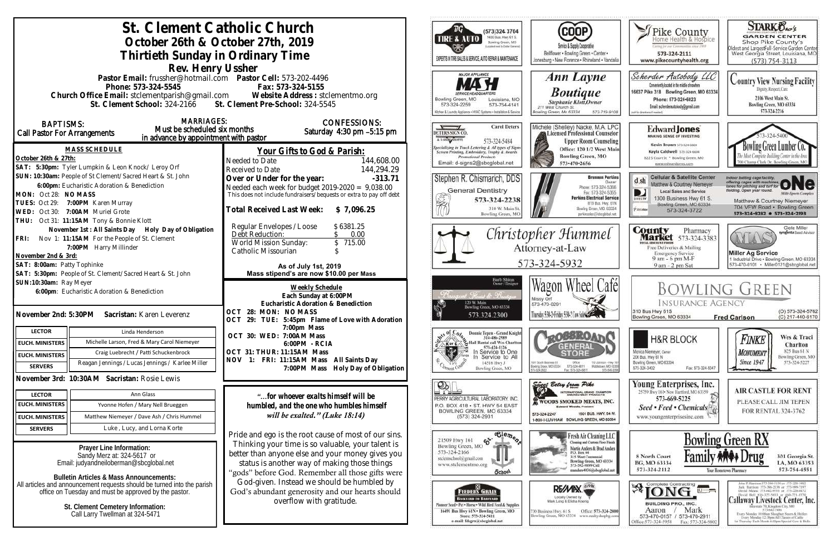|                                                                                                                                                                                                                                      | St. Clement Catholic Church<br>October 26th & October 27th, 2019<br>Thirtieth Sunday in Ordinary Time |                                                                                                                                                                                                               | TIRE & AUTO                                                                                         | (573)324 3704<br>1400 Bus. Hwy 61 S.<br>Bowling Green, MO<br>posted meet to Clutter Garrens<br>EXPERTS IN TIRE SALES & SERVICE, AUTO REPAIR & MAINTENANCE                                              | (COOP)<br>Service & Supply Cooperative<br>Bellflower . Bowling Green . Center .<br>Jonesburg . New Florence . Rhineland . Vandalia                                                 | $\blacktriangleright$ Pike County<br>Home Health & Hospice<br>Certag for our Communities street PWF<br>573-324-2111<br>www.pikecountyhealth.org                                                               | <b>STARK Oxo's</b><br><b>GARDEN CENTER</b><br>Shop Pike County's<br>Oldest and LargestFull-Service Garden Center<br>West Georgia Street, Louisiana, MO<br>$(573) 754 - 3113$                                                                                                                                                                                                                                                 |
|--------------------------------------------------------------------------------------------------------------------------------------------------------------------------------------------------------------------------------------|-------------------------------------------------------------------------------------------------------|---------------------------------------------------------------------------------------------------------------------------------------------------------------------------------------------------------------|-----------------------------------------------------------------------------------------------------|--------------------------------------------------------------------------------------------------------------------------------------------------------------------------------------------------------|------------------------------------------------------------------------------------------------------------------------------------------------------------------------------------|---------------------------------------------------------------------------------------------------------------------------------------------------------------------------------------------------------------|------------------------------------------------------------------------------------------------------------------------------------------------------------------------------------------------------------------------------------------------------------------------------------------------------------------------------------------------------------------------------------------------------------------------------|
| Rev. Henry Ussher<br>Pastor Email: frussher@hotmail.com    Pastor Cell: 573-202-4496<br>Phone: 573-324-5545<br>Church Office Email: stclementparish@gmail.com Website Address : stclementmo.org<br>St. Clement School: 324-2166      |                                                                                                       | Fax: 573-324-5155<br>St. Clement Pre-School: 324-5545                                                                                                                                                         | Bowling Green, MO<br>573-324-2259                                                                   | MAJOR APPLIANCE<br><b><i>ERVICE HEADOUAR</i></b><br>Louisiana, MO<br>573-754-4141<br>Glohen & Laundry Appliance . HVAC Systems . Installation & Service                                                | <b>Ann Layne</b><br><b>Boutique</b><br>Stephanie Klott.Owner<br>211 West Church St.<br>lowling Green, Mo 63334<br>573-719-9100                                                     | Scherder Autobody LLC<br>Conveniently located in the middle of nowhere<br>16637 Pike 318 Bowling Green, MO 63334<br>Phone: 573+324+6023<br>Email: scherderautobody@gmail.com<br>bill for directions if needed | <b>Country View Nursing Facility</b><br>Dignity, Respect, Care<br>2106 West Main St.<br>Bowling Green, MO 63334<br>573-324-2216                                                                                                                                                                                                                                                                                              |
| <b>MARRIAGES:</b><br><b>BAPTISMS:</b><br>Must be scheduled six months<br>Call Pastor For Arrangements<br>in advance by appointment with pastor                                                                                       |                                                                                                       | <b>CONFESSIONS:</b><br>Saturday 4:30 pm -5:15 pm                                                                                                                                                              | DETERS SIGN CO.<br>A LSHIN ABORE                                                                    | <b>Carol Deters</b><br>573-324-5484                                                                                                                                                                    | Michele (Shelley) Nacke, M.A. LPC<br>Licensed Professional Counselor<br><b>Upper Room Counseling</b>                                                                               | Edward Jones<br>MAKING SENSE OF INVESTING<br>Kevin Brown 573-324-6604                                                                                                                                         | Bowling Green Lumber Co.                                                                                                                                                                                                                                                                                                                                                                                                     |
| <b>MASS SCHEDULE</b><br>October 26th & 27th:<br>SAT: 5:30pm: Tyler Lumpkin & Leon Knock/ Leroy Orf                                                                                                                                   |                                                                                                       | Your Gifts to God & Parish:<br>144,608.00<br>Needed to Date<br>144,294.29<br>Received to Date                                                                                                                 |                                                                                                     | <b>Specializing in Truck Lettering &amp; All types of Signs</b><br>Screen Printing, Embroidery, Trophy & Awards<br><b>Promotional Products</b><br>Email: d-signs2@sbcglobal.net                        | Office: 120 1/2 West Main<br><b>Bowling Green, MO</b><br>573-470-2656                                                                                                              | Kayla Caldwell 573-324-6604<br>822 S Court St * Bowling Green, MO<br>www.edwardjones.com                                                                                                                      | 700 Champ Clark Dr. Bowling Green, M.                                                                                                                                                                                                                                                                                                                                                                                        |
| SUN: 10:30am: People of St Clement/Sacred Heart & St. John<br>6:00pm: Eucharistic Adoration & Benediction<br>MON: Oct 28: NO MASS<br>TUES: Oct 29: 7:00PM Karen Murray<br>WED: Oct 30: 7:00AM Muriel Grote                           |                                                                                                       | Over or Under for the year:<br>$-313.71$<br>Needed each week for budget $2019-2020 = 9,038.00$<br>This does not include fundraisers/bequests or extra to pay off debt<br>Total Received Last Week: \$7,096.25 |                                                                                                     | Stephen R. Chismarich, DDS<br><b>General Dentistry</b><br>573-324-2238<br>310 W. Main St.                                                                                                              | <b>Brennen Perkins</b><br><b>Dwner</b><br>Phone: 573-324-5366<br>Fax: 573-324-5355<br><b>Perkins Electrical Service</b><br>B19 Bus. Hwy. 61N<br>Bowling Green, MO. 63334           | <b>Cellular &amp; Satellite Center</b><br>d sh<br>Matthew & Courtney Niemeyer<br>Local Sales and Service<br>D<br>1300 Business Hwy 61 S.<br>Bowling Green, MO 63334<br><b>Piatolair</b><br>573-324-3722       | Indoor batting cage facility.<br>offering cages with machines ONC<br>lelding. Open year round.<br><b>Milti-Sparts Complet</b><br>Matthew & Courtney Niemeyer<br>704 VFW Road · Bowling Green<br>573-324-8282 0 573-324-2193                                                                                                                                                                                                  |
| THU: Oct 31: 11:15AM Tony & Bonnie Klott<br>November 1st: All Saints Day Holy Day of Obligation<br>FRI: Nov 1: 11:15AM For the People of St. Clement<br>7:00PM Harry Millinder<br>November 2nd & 3rd:<br>SAT: 8:00am: Patty Tophinke |                                                                                                       | Regular Envelopes / Loose<br>\$6381.25<br>Debt Reduction:<br>0.00<br>\$715.00<br>World Mission Sunday:<br>Catholic Missourian<br>As of July 1st, 2019                                                         |                                                                                                     | Bowling Green, MC                                                                                                                                                                                      | perkinselec@shoclobal.net<br>Christopher Hummel<br>Attorney-at-Law<br>573-324-5932                                                                                                 | <b>County</b> Pharmacy<br><b>Market</b> 573-324-3383<br><b>ITAL BISCOUNT PRODS</b><br>Free Deliveries & Mailing<br><b>Emergency Service</b><br>9 am - 6 pm M-F<br>9 am - 2 pm Sat                             | Clete Miller<br>syngenta Sood Advisor<br>AYLA<br><b>Miller Ag Service</b><br>1 Industrial Drive . Bowling Green, MO 63334<br>573-470-0101 · Miller0121@sbcglobal.net                                                                                                                                                                                                                                                         |
|                                                                                                                                                                                                                                      | SAT: 5:30pm: People of St. Clement/Sacred Heart & St. John                                            | Mass stipend's are now \$10.00 per Mass                                                                                                                                                                       |                                                                                                     |                                                                                                                                                                                                        |                                                                                                                                                                                    |                                                                                                                                                                                                               |                                                                                                                                                                                                                                                                                                                                                                                                                              |
| SUN:10:30am: Ray Meyer<br>6:00pm: Eucharistic Adoration & Benediction<br>November 2nd: 5:30PM<br>Sacristan: Karen Leverenz                                                                                                           |                                                                                                       | Weekly Schedule<br>Each Sunday at 6:00PM<br>Eucharistic Adoration & Benediction<br>OCT 28: MON: NO MASS<br>OCT 29: TUE: 5:45pm Flame of Love with Adoration                                                   |                                                                                                     | Barb Shinn<br>Owner/Designe<br>: Florida & President<br>120 W. Main<br>Bowling Green, MO 63334<br>573.324.2300                                                                                         | Wagon Wheel Cafél<br>Missy Orf<br>573-470-0291<br>Thursday 5:30-2: Friday 5:30-2 Cow Sales Com                                                                                     | <b>INSURANCE AGENCY</b><br>310 Bus Hwy 61S<br>Bowling Green, MO 63334                                                                                                                                         | <b>BOWLING GREEN</b><br>(O) 573-324-5762<br>(C) 217-440-6170<br><b>Fred Carlson</b>                                                                                                                                                                                                                                                                                                                                          |
| <b>LECTOR</b>                                                                                                                                                                                                                        | Linda Henderson                                                                                       | 7:00pm Mass                                                                                                                                                                                                   |                                                                                                     | Donnie Tepen - Grand Knight                                                                                                                                                                            |                                                                                                                                                                                    |                                                                                                                                                                                                               |                                                                                                                                                                                                                                                                                                                                                                                                                              |
| <b>EUCH. MINISTERS</b>                                                                                                                                                                                                               | Michelle Larson, Fred & Mary Carol Niemeyer                                                           | OCT 30: WED: 7:00AM Mass<br>6:00 PM - RCIA                                                                                                                                                                    | <b>XerC</b>                                                                                         | 314-486-2989<br>2. Hall Rental call Wes Charlton                                                                                                                                                       | \ <sub>c</sub> o88R0a}<br><b>GENERAL</b>                                                                                                                                           | <b>H&amp;R BLOCK</b>                                                                                                                                                                                          | Wes & Traci<br>Finke<br>Charlton                                                                                                                                                                                                                                                                                                                                                                                             |
| <b>EUCH. MINISTERS</b>                                                                                                                                                                                                               | Craig Luebrecht / Patti Schuckenbrock                                                                 | OCT 31: THUR: 11:15AM Mass                                                                                                                                                                                    | ¶x≱                                                                                                 | 573-424-1126<br>In Service to One<br>Service to All                                                                                                                                                    | <b>STORE</b>                                                                                                                                                                       | Monica Niemeyer, Owner<br>206 Bus. Hwy 61 N                                                                                                                                                                   | 825 Bus 61 N<br><b>MONUMENT</b><br>Bowling Green, MO                                                                                                                                                                                                                                                                                                                                                                         |
| <b>SERVERS</b>                                                                                                                                                                                                                       | Reagan Jennings / Lucas Jennings / Karlee Miller                                                      | NOV 1: FRI: 11:15AM Mass All Saints Day<br>7:00PM Mass Holy Day of Obligation                                                                                                                                 |                                                                                                     | 14516 Hwy J<br>Bowling Green, MO                                                                                                                                                                       | 001 South Business 61<br>Ofice<br>110 Johnson - Hwy 9<br>573-324-6811<br>Middietown, NO 6339<br>Bowling Green, MD 63334<br>673-549-209<br>Fax: 573-324-6811                        | Bowling Green, MO 63334<br>Fax: 573-324-5047<br>573-324-3402                                                                                                                                                  | <b>Since 1947</b><br>573-324-5227                                                                                                                                                                                                                                                                                                                                                                                            |
|                                                                                                                                                                                                                                      | November 3rd: 10:30AM Sacristan: Rosie Lewis                                                          |                                                                                                                                                                                                               | $\mathcal{D}$                                                                                       |                                                                                                                                                                                                        |                                                                                                                                                                                    | Young Enterprises, Inc.                                                                                                                                                                                       |                                                                                                                                                                                                                                                                                                                                                                                                                              |
| <b>LECTOR</b>                                                                                                                                                                                                                        | Ann Glass                                                                                             | "for whoever exalts himself will be                                                                                                                                                                           | = Ω≡                                                                                                | PERRY AGRICULTURAL LABORATORY, INC.                                                                                                                                                                    | Since Betsy from Pike<br>INTERNATIONAL GRAND CHAMFION                                                                                                                              | 25759 Hwy 161 . New Hartford, MO 63359<br>573-669-5225                                                                                                                                                        | <b>AIR CASTLE FOR RENT</b>                                                                                                                                                                                                                                                                                                                                                                                                   |
| <b>EUCH. MINISTERS</b>                                                                                                                                                                                                               | Yvonne Hofen / Mary Nell Brueggen                                                                     | humbled, and the one who humbles himself                                                                                                                                                                      |                                                                                                     | P.O. BOX 418 . ST. HWY 54 EAST                                                                                                                                                                         | WOODS SMOKED MEATS, INC.<br><b>Edward Woods, President</b>                                                                                                                         | Seed • Feed • Chemicals <sup>[4]</sup>                                                                                                                                                                        | PLEASE CALL JIM TEPEN<br>FOR RENTAL 324-3762                                                                                                                                                                                                                                                                                                                                                                                 |
| <b>EUCH. MINISTERS</b>                                                                                                                                                                                                               | Matthew Niemeyer / Dave Ash / Chris Hummel                                                            | will be exalted." (Luke $18:14$ )                                                                                                                                                                             |                                                                                                     | BOWLING GREEN, MO 63334<br>$(573)$ 324-2931                                                                                                                                                            | 1501 BUS. HWY. 54 W.<br>573-324-2247<br>1-800-I-LUV-HAM BOWLING GREEN, MO 63334                                                                                                    | www.youngenterprisesinc.com                                                                                                                                                                                   |                                                                                                                                                                                                                                                                                                                                                                                                                              |
| <b>SERVERS</b>                                                                                                                                                                                                                       | Luke, Lucy, and Lorna Korte                                                                           | Pride and ego is the root cause of most of our sins.                                                                                                                                                          |                                                                                                     | $\overline{\text{e}^{\text{le}}_{\text{e}}\text{e}_{\text{e}_{\text{e}}}}$                                                                                                                             | Fresh Air Cleaning LLC                                                                                                                                                             |                                                                                                                                                                                                               |                                                                                                                                                                                                                                                                                                                                                                                                                              |
| Prayer Line Information:<br>Sandy Merz at: 324-5617 or<br>Email: judyandneiloberman@sbcglobal.net<br><b>Bulletin Articles &amp; Mass Announcements:</b>                                                                              |                                                                                                       | Thinking your time is so valuable, your talent is<br>better than anyone else and your money gives you<br>status is another way of making those things<br>"gods" before God. Remember all those gifts were     | 21509 Hwy 161<br>Bowling Green, MO<br>573-324-2166<br>stelemschool@gmail.com<br>www.stclementmo.org | $\mathfrak{S}$<br><b>School</b>                                                                                                                                                                        | Cleaning and Custom Floor Finish<br>Martin Anders & Brad Anders<br>P.O. Box 44<br>315 West Centennial<br>Bowling Green, MO 63334<br>573-592-9899 Cell<br>nanders4036@sbcglobal.net | 8 North Court<br>BG, MO 63334<br>573-324-2112                                                                                                                                                                 | <b>Bowling Green RX</b><br>301 Georgia St.<br>LA, MO 63353<br>573-754-4551<br>Your Hometown Pharmacy                                                                                                                                                                                                                                                                                                                         |
| All articles and announcement requests should be turned into the parish<br>office on Tuesday and must be approved by the pastor.<br>St. Clement Cemetery Information:<br>Call Larry Twellman at 324-5471                             |                                                                                                       | God-given. Instead we should be humbled by<br>God's abundant generosity and our hearts should<br>overflow with gratitude.                                                                                     |                                                                                                     | FEEDERS GRAIN<br><b>LACKYARD TO BARNVARD</b><br>Finneer Seed + Pet + Horse + Wild Hird Feed & Supplies<br>16491 Bus Hwy 61N . Bowling Green, MO<br>Store: 573-324-5411<br>e-mail: fdsgrn@sbcglobal.net | RE/MIX<br>Locally Owned by<br>Office: 573-324-2800<br>130 Business Hwy. 61 S<br>Bowling Green, MO 63334 www.realtyshopbg.com                                                       | $ $ $\mathbb{R}$ TONG<br>$\overline{u}$ $\overline{u}$<br><b>BUILDING PRO., INC.</b><br>Mark<br>Aaron<br>573-470-0157 / 573-470-2911<br>Office:573-324-5958<br>Fax: 573-324-980                               | John P. Harrison 573-386-5150 or 573-220-1482<br>Jack Hurrison 573-386-2138 or 573-999-7197<br>David Means 573-642-9753 st 573-220-0472<br>David Bell 816-527-5633 or 660-721-1370<br>Callaway Livestock Center, Inc.<br>state 70, Kingdoni City, MO<br>573-642-7486<br>Every Monday 10:00am Sloughter Steers & Heilers<br>Every Meralay 12:30pm All Classes of Cattle<br>at Thursday Each Month 6:00pm Special Cow & Bulls. |
|                                                                                                                                                                                                                                      |                                                                                                       |                                                                                                                                                                                                               |                                                                                                     |                                                                                                                                                                                                        |                                                                                                                                                                                    |                                                                                                                                                                                                               |                                                                                                                                                                                                                                                                                                                                                                                                                              |